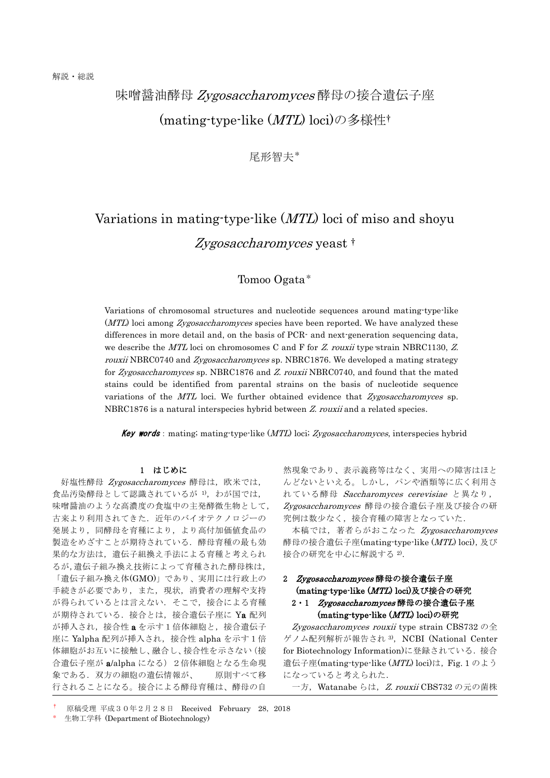## 味噌醤油酵母 Zygosaccharomyces 酵母の接合遺伝子座 (mating-type-like (MTL) loci)の多様性†

尾形智夫\*

# Variations in mating-type-like (MTL) loci of miso and shoyu Zygosaccharomyces yeast <sup>†</sup>

## Tomoo Ogata\*

Variations of chromosomal structures and nucleotide sequences around mating-type-like (MTL) loci among Zygosaccharomyces species have been reported. We have analyzed these differences in more detail and, on the basis of PCR- and next-generation sequencing data, we describe the  $MTL$  loci on chromosomes C and F for Z. rouxii type-strain NBRC1130, Z. rouxii NBRC0740 and Zygosaccharomyces sp. NBRC1876. We developed a mating strategy for Zygosaccharomyces sp. NBRC1876 and Z. rouxii NBRC0740, and found that the mated stains could be identified from parental strains on the basis of nucleotide sequence variations of the  $MTL$  loci. We further obtained evidence that Zygosaccharomyces sp. NBRC1876 is a natural interspecies hybrid between Z. rouxii and a related species.

Key words: mating; mating-type-like (MTL) loci; Zygosaccharomyces, interspecies hybrid

#### 1 はじめに

好塩性酵母 Zygosaccharomyces 酵母は、欧米では, 食品汚染酵母として認識されているが 1), わが国では, 味噌醤油のような高濃度の食塩中の主発酵微生物として, 古来より利用されてきた. 近年のバイオテクノロジーの 発展より,同酵母を育種により,より高付加価値食品の 製造をめざすことが期待されている。酵母育種の最も効 果的な方法は,遺伝子組換え手法による育種と考えられ るが,遺伝子組み換え技術によって育種された酵母株は, 「遺伝子組み換え体(GMO)」であり、実用には行政上の 手続きが必要であり、また、現状、消費者の理解や支持 が得られているとは言えない.そこで,接合による育種 が期待されている. 接合とは、接合遺伝子座に Ya 配列 が挿入され,接合性 a を示す1倍体細胞と,接合遺伝子 座に Yalpha 配列が挿入され、接合性 alpha を示す1倍 体細胞がお互いに接触し、融合し、接合性を示さない(接 合遺伝子座が a/alpha になる) 2倍体細胞となる生命現 象である.双方の細胞の遺伝情報が、 原則すべて移 行されることになる。接合による酵母育種は、酵母の自

然現象であり、表示義務等はなく、実用への障害はほと んどないといえる。しかし,パンや酒類等に広く利用さ れている酵母 Saccharomyces cerevisiae と異なり, Zygosaccharomyces 酵母の接合遺伝子座及び接合の研 究例は数少なく,接合育種の障害となっていた.

本稿では,著者らがおこなった Zygosaccharomyces 酵母の接合遺伝子座(mating-type-like (MTL) loci), 及び 接合の研究を中心に解説する 2).

### 2 Zygosaccharomyces 酵母の接合遺伝子座 (mating-type-like (MTL) loci)及び接合の研究 2·1 Zygosaccharomyces 酵母の接合遺伝子座 (mating-type-like (MTL) loci)の研究

Zygosaccharomyces rouxii type strain CBS732  $\oslash$   $\triangle$ ゲノム配列解析が報告され<sup>3)</sup>, NCBI (National Center for Biotechnology Information)に登録されている.接合 遺伝子座(mating-type-like (MTL) loci)は、Fig. 1 のよう になっていると考えられた.

一方, Watanabe らは, Z. rouxii CBS732 の元の菌株

<sup>†</sup> 原稿受理 平成30年2月28日 Received February 28,2018

生物工学科 (Department of Biotechnology)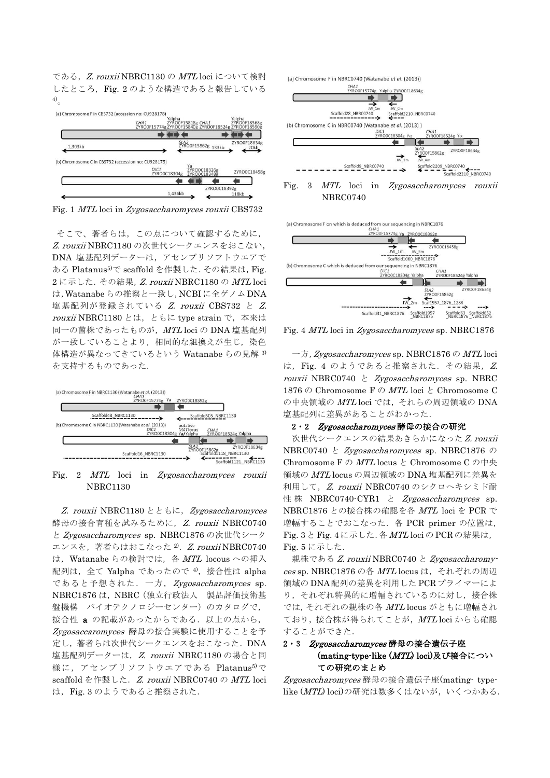である, Z. rouxii NBRC1130 の MTL loci について検討 したところ, Fig. 2 のような構造であると報告している 4)。

(a) Chromosome F in CBS732 (accession no: CU928178) CHA1<br>ZYRO0F15774g 20200F15862g 133kb **ZVROOF1863**  $1,303kb$ (b) Chromosome C in CBS732 (accession no: CU928175) Ya<br>ZYROOC18326g<br>ZYROOC183485 DIC1<br>ZYROOC18304 ZYRO0C18458g ZYRO0C18392g 1.436kb  $118kh$ 

Fig. 1 MTL loci in Zygosaccharomyces rouxii CBS732

そこで、著者らは,この点について確認するために, Z. rouxii NBRC1180 の次世代シークエンスをおこない, DNA 塩基配列データーは,アセンブリソフトウエアで ある Platanus5)で scaffold を作製した.その結果は,Fig. 2に示した. その結果, Z. rouxii NBRC1180の MTL loci は,Watanabe らの推察と一致し,NCBI に全ゲノム DNA 塩基配列が登録されている Z. rouxii CBS732 と Z. rouxii NBRC1180 とは、ともに type strain で, 本来は 同一の菌株であったものが,MTL loci の DNA 塩基配列 が一致していることより、相同的な組換えが生じ、染色 体構造が異なってきているという Watanabe らの見解 3) を支持するものであった.



Fig. 2 MTL loci in Zygosaccharomyces rouxii NBRC1130

Z. rouxii NBRC1180 とともに, Zygosaccharomyces 酵母の接合育種を試みるために, Z. rouxii NBRC0740 と Zygosaccharomyces sp. NBRC1876 の次世代シーク エンスを、著者らはおこなった<sup>2)</sup>. Z. rouxii NBRC0740 は、Watanabe らの検討では、各 MTL locous への挿入 配列は, 全て Yalpha であったので 4), 接合性は alpha であると予想された.一方,Zygosaccharomyces sp. NBRC1876 は,NBRC(独立行政法人 製品評価技術基 盤機構 バイオテクノロジーセンター)のカタログで, 接合性 a の記載があったからである. 以上の点から, Zygosaccaromyces 酵母の接合実験に使用することを予 定し,著者らは次世代シークエンスをおこなった.DNA 塩基配列データーは, Z. rouxii NBRC1180 の場合と同 様に、アセンブリソフトウエアである Platanus<sup>5)</sup>で scaffold を作製した. Z. rouxii NBRC0740 の MTL loci は,Fig. 3 のようであると推察された.



NBRC0740



Fig. 4 MTL loci in Zygosaccharomyces sp. NBRC1876

一方,Zygosaccharomyces sp. NBRC1876 の MTL loci は, Fig. 4 のようであると推察された. その結果, Z. rouxii NBRC0740 と Zygosaccharomyces sp. NBRC 1876 の Chromosome F の  $MTL$  loci と Chromosome C の中央領域の MTL loci では、それらの周辺領域の DNA 塩基配列に差異があることがわかった.

#### 2·2 Zygosaccharomyces 酵母の接合の研究

次世代シークエンスの結果あきらかになったZ. rouxii NBRC0740 と Zygosaccharomyces sp. NBRC1876 の Chromosome F の  $MTL$  locus と Chromosome C の中央 領域の MTL locus の周辺領域の DNA 塩基配列に差異を 利用して, Z. rouxii NBRC0740 のシクロヘキシミド耐 性株 NBRC0740-CYR1 と *Zygosaccharomyces* sp. NBRC1876 との接合株の確認を各 MTL loci を PCR で 増幅することでおこなった.各 PCR primer の位置は, Fig. 3 と Fig. 4 に示した.各 MTL loci の PCR の結果は, Fig. 5 に示した.

親株である Z. rouxii NBRC0740 と Zygosaccharomyces sp. NBRC1876 の各 MTL locus は,それぞれの周辺 領域の DNA 配列の差異を利用した PCR プライマーによ り,それぞれ特異的に増幅されているのに対し,接合株 では,それぞれの親株の各 MTL locus がともに増幅され ており、接合株が得られてことが、MTL loci からも確認 することができた.

### 2·3 Zygosaccharomyces 酵母の接合遺伝子座 (mating-type-like (MTL) loci)及び接合につい ての研究のまとめ

Zygosaccharomyces 酵母の接合遺伝子座(mating- typelike (MTL) loci)の研究は数多くはないが、いくつかある.